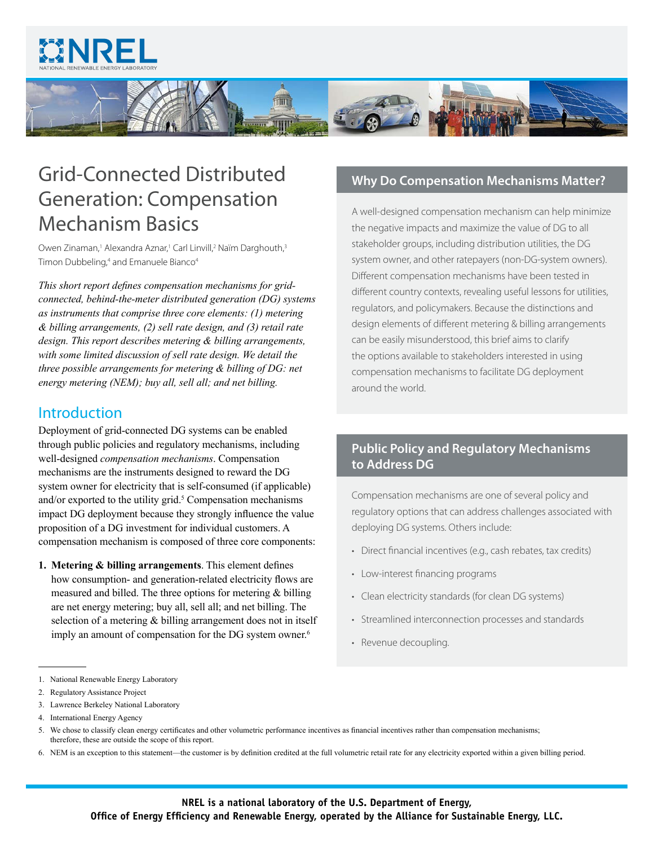



# Grid-Connected Distributed Generation: Compensation Mechanism Basics

Owen Zinaman,<sup>1</sup> Alexandra Aznar,<sup>1</sup> Carl Linvill,<sup>2</sup> Naïm Darghouth,<sup>3</sup> Timon Dubbeling,<sup>4</sup> and Emanuele Bianco<sup>4</sup>

*This short report defines compensation mechanisms for gridconnected, behind-the-meter distributed generation (DG) systems as instruments that comprise three core elements: (1) metering & billing arrangements, (2) sell rate design, and (3) retail rate design. This report describes metering & billing arrangements, with some limited discussion of sell rate design. We detail the three possible arrangements for metering & billing of DG: net energy metering (NEM); buy all, sell all; and net billing.* 

# **Introduction**

Deployment of grid-connected DG systems can be enabled through public policies and regulatory mechanisms, including well-designed *compensation mechanisms*. Compensation mechanisms are the instruments designed to reward the DG system owner for electricity that is self-consumed (if applicable) and/or exported to the utility grid. $5$  Compensation mechanisms impact DG deployment because they strongly influence the value proposition of a DG investment for individual customers. A compensation mechanism is composed of three core components:

**1. Metering & billing arrangements**. This element defines how consumption- and generation-related electricity flows are measured and billed. The three options for metering & billing are net energy metering; buy all, sell all; and net billing. The selection of a metering & billing arrangement does not in itself imply an amount of compensation for the DG system owner.<sup>6</sup>

# **Why Do Compensation Mechanisms Matter?**

A well-designed compensation mechanism can help minimize the negative impacts and maximize the value of DG to all stakeholder groups, including distribution utilities, the DG system owner, and other ratepayers (non-DG-system owners). Different compensation mechanisms have been tested in different country contexts, revealing useful lessons for utilities, regulators, and policymakers. Because the distinctions and design elements of different metering & billing arrangements can be easily misunderstood, this brief aims to clarify the options available to stakeholders interested in using compensation mechanisms to facilitate DG deployment around the world.

# **Public Policy and Regulatory Mechanisms to Address DG**

Compensation mechanisms are one of several policy and regulatory options that can address challenges associated with deploying DG systems. Others include:

- Direct financial incentives (e.g., cash rebates, tax credits)
- Low-interest financing programs
- Clean electricity standards (for clean DG systems)
- Streamlined interconnection processes and standards
- Revenue decoupling.

3. Lawrence Berkeley National Laboratory

6. NEM is an exception to this statement—the customer is by definition credited at the full volumetric retail rate for any electricity exported within a given billing period.

<sup>1.</sup> National Renewable Energy Laboratory

<sup>2.</sup> Regulatory Assistance Project

<sup>4.</sup> International Energy Agency

<sup>5.</sup> We chose to classify clean energy certificates and other volumetric performance incentives as financial incentives rather than compensation mechanisms; therefore, these are outside the scope of this report.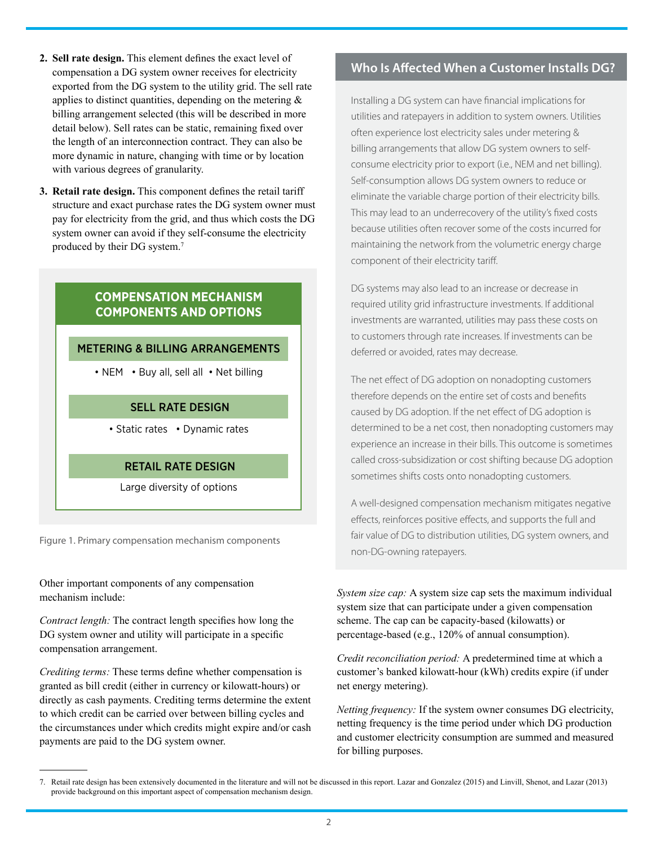- **2. Sell rate design.** This element defines the exact level of compensation a DG system owner receives for electricity exported from the DG system to the utility grid. The sell rate applies to distinct quantities, depending on the metering  $\&$ billing arrangement selected (this will be described in more detail below). Sell rates can be static, remaining fixed over the length of an interconnection contract. They can also be more dynamic in nature, changing with time or by location with various degrees of granularity.
- **3. Retail rate design.** This component defines the retail tariff structure and exact purchase rates the DG system owner must pay for electricity from the grid, and thus which costs the DG system owner can avoid if they self-consume the electricity produced by their DG system.<sup>7</sup>

## **COMPENSATION MECHANISM COMPONENTS AND OPTIONS**

### METERING & BILLING ARRANGEMENTS

• NEM • Buy all, sell all • Net billing

## SELL RATE DESIGN

• Static rates • Dynamic rates

## RETAIL RATE DESIGN

Large diversity of options

Figure 1. Primary compensation mechanism components

Other important components of any compensation mechanism include:

*Contract length:* The contract length specifies how long the DG system owner and utility will participate in a specific compensation arrangement.

*Crediting terms:* These terms define whether compensation is granted as bill credit (either in currency or kilowatt-hours) or directly as cash payments. Crediting terms determine the extent to which credit can be carried over between billing cycles and the circumstances under which credits might expire and/or cash payments are paid to the DG system owner.

## **Who Is Affected When a Customer Installs DG?**

Installing a DG system can have financial implications for utilities and ratepayers in addition to system owners. Utilities often experience lost electricity sales under metering & billing arrangements that allow DG system owners to selfconsume electricity prior to export (i.e., NEM and net billing). Self-consumption allows DG system owners to reduce or eliminate the variable charge portion of their electricity bills. This may lead to an underrecovery of the utility's fixed costs because utilities often recover some of the costs incurred for maintaining the network from the volumetric energy charge component of their electricity tariff.

DG systems may also lead to an increase or decrease in required utility grid infrastructure investments. If additional investments are warranted, utilities may pass these costs on to customers through rate increases. If investments can be deferred or avoided, rates may decrease.

The net effect of DG adoption on nonadopting customers therefore depends on the entire set of costs and benefits caused by DG adoption. If the net effect of DG adoption is determined to be a net cost, then nonadopting customers may experience an increase in their bills. This outcome is sometimes called cross-subsidization or cost shifting because DG adoption sometimes shifts costs onto nonadopting customers.

A well-designed compensation mechanism mitigates negative effects, reinforces positive effects, and supports the full and fair value of DG to distribution utilities, DG system owners, and non-DG-owning ratepayers.

*System size cap:* A system size cap sets the maximum individual system size that can participate under a given compensation scheme. The cap can be capacity-based (kilowatts) or percentage-based (e.g., 120% of annual consumption).

*Credit reconciliation period:* A predetermined time at which a customer's banked kilowatt-hour (kWh) credits expire (if under net energy metering).

*Netting frequency:* If the system owner consumes DG electricity, netting frequency is the time period under which DG production and customer electricity consumption are summed and measured for billing purposes.

<sup>7.</sup> Retail rate design has been extensively documented in the literature and will not be discussed in this report. Lazar and Gonzalez (2015) and Linvill, Shenot, and Lazar (2013) provide background on this important aspect of compensation mechanism design.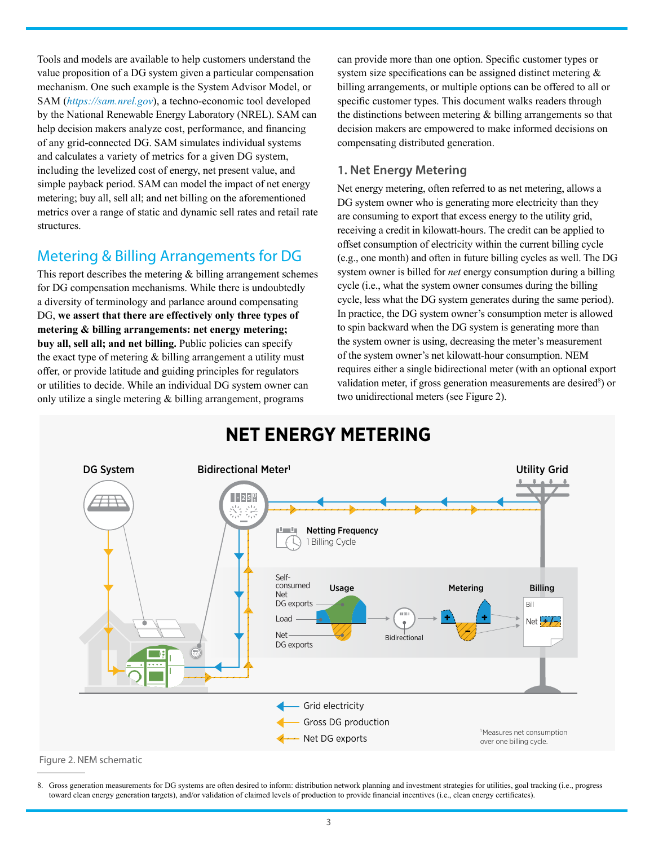Tools and models are available to help customers understand the value proposition of a DG system given a particular compensation mechanism. One such example is the System Advisor Model, or SAM (*<https://sam.nrel.gov>*), a techno-economic tool developed by the National Renewable Energy Laboratory (NREL). SAM can help decision makers analyze cost, performance, and financing of any grid-connected DG. SAM simulates individual systems and calculates a variety of metrics for a given DG system, including the levelized cost of energy, net present value, and simple payback period. SAM can model the impact of net energy metering; buy all, sell all; and net billing on the aforementioned metrics over a range of static and dynamic sell rates and retail rate structures.

# Metering & Billing Arrangements for DG

This report describes the metering  $\&$  billing arrangement schemes for DG compensation mechanisms. While there is undoubtedly a diversity of terminology and parlance around compensating DG, **we assert that there are effectively only three types of metering & billing arrangements: net energy metering; buy all, sell all; and net billing.** Public policies can specify the exact type of metering  $&$  billing arrangement a utility must offer, or provide latitude and guiding principles for regulators or utilities to decide. While an individual DG system owner can only utilize a single metering  $&$  billing arrangement, programs

can provide more than one option. Specific customer types or system size specifications can be assigned distinct metering & billing arrangements, or multiple options can be offered to all or specific customer types. This document walks readers through the distinctions between metering  $\&$  billing arrangements so that decision makers are empowered to make informed decisions on compensating distributed generation.

# **1. Net Energy Metering**

Net energy metering, often referred to as net metering, allows a DG system owner who is generating more electricity than they are consuming to export that excess energy to the utility grid, receiving a credit in kilowatt-hours. The credit can be applied to offset consumption of electricity within the current billing cycle (e.g., one month) and often in future billing cycles as well. The DG system owner is billed for *net* energy consumption during a billing cycle (i.e., what the system owner consumes during the billing cycle, less what the DG system generates during the same period). In practice, the DG system owner's consumption meter is allowed to spin backward when the DG system is generating more than the system owner is using, decreasing the meter's measurement of the system owner's net kilowatt-hour consumption. NEM requires either a single bidirectional meter (with an optional export validation meter, if gross generation measurements are desired<sup>8</sup>) or two unidirectional meters (see [Figure 2](#page-2-0)).



<span id="page-2-0"></span>Figure 2. NEM schematic

8. Gross generation measurements for DG systems are often desired to inform: distribution network planning and investment strategies for utilities, goal tracking (i.e., progress toward clean energy generation targets), and/or validation of claimed levels of production to provide financial incentives (i.e., clean energy certificates).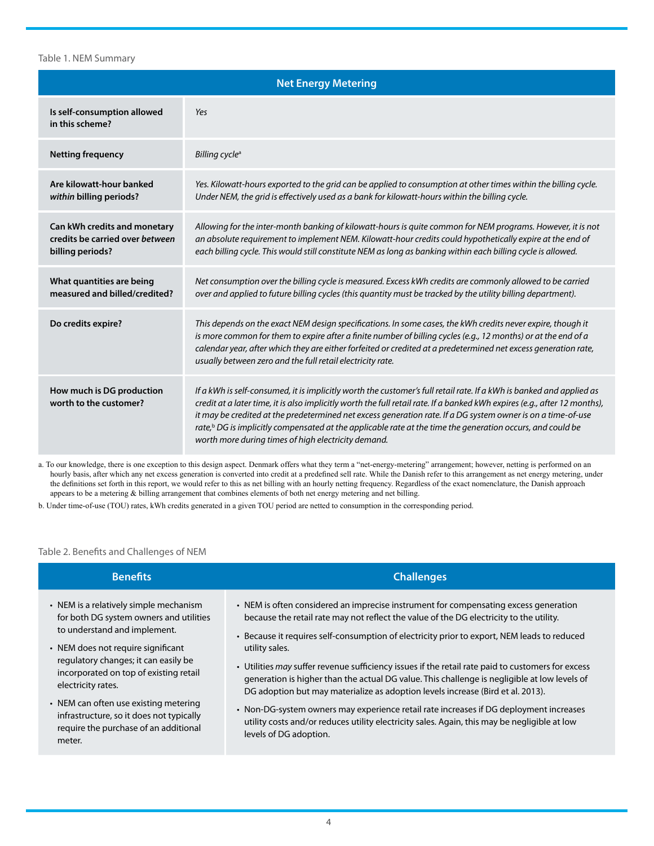#### Table 1. NEM Summary

| <b>Net Energy Metering</b>                                                          |                                                                                                                                                                                                                                                                                                                                                                                                                                                                                                                                                      |  |  |
|-------------------------------------------------------------------------------------|------------------------------------------------------------------------------------------------------------------------------------------------------------------------------------------------------------------------------------------------------------------------------------------------------------------------------------------------------------------------------------------------------------------------------------------------------------------------------------------------------------------------------------------------------|--|--|
| Is self-consumption allowed<br>in this scheme?                                      | Yes                                                                                                                                                                                                                                                                                                                                                                                                                                                                                                                                                  |  |  |
| <b>Netting frequency</b>                                                            | Billing cycle <sup>a</sup>                                                                                                                                                                                                                                                                                                                                                                                                                                                                                                                           |  |  |
| Are kilowatt-hour banked<br>within billing periods?                                 | Yes. Kilowatt-hours exported to the grid can be applied to consumption at other times within the billing cycle.<br>Under NEM, the grid is effectively used as a bank for kilowatt-hours within the billing cycle.                                                                                                                                                                                                                                                                                                                                    |  |  |
| Can kWh credits and monetary<br>credits be carried over between<br>billing periods? | Allowing for the inter-month banking of kilowatt-hours is quite common for NEM programs. However, it is not<br>an absolute requirement to implement NEM. Kilowatt-hour credits could hypothetically expire at the end of<br>each billing cycle. This would still constitute NEM as long as banking within each billing cycle is allowed.                                                                                                                                                                                                             |  |  |
| What quantities are being<br>measured and billed/credited?                          | Net consumption over the billing cycle is measured. Excess kWh credits are commonly allowed to be carried<br>over and applied to future billing cycles (this quantity must be tracked by the utility billing department).                                                                                                                                                                                                                                                                                                                            |  |  |
| Do credits expire?                                                                  | This depends on the exact NEM design specifications. In some cases, the kWh credits never expire, though it<br>is more common for them to expire after a finite number of billing cycles (e.g., 12 months) or at the end of a<br>calendar year, after which they are either forfeited or credited at a predetermined net excess generation rate,<br>usually between zero and the full retail electricity rate.                                                                                                                                       |  |  |
| How much is DG production<br>worth to the customer?                                 | If a kWh is self-consumed, it is implicitly worth the customer's full retail rate. If a kWh is banked and applied as<br>credit at a later time, it is also implicitly worth the full retail rate. If a banked kWh expires (e.g., after 12 months),<br>it may be credited at the predetermined net excess generation rate. If a DG system owner is on a time-of-use<br>rate, $\frac{b}{c}$ DG is implicitly compensated at the applicable rate at the time the generation occurs, and could be<br>worth more during times of high electricity demand. |  |  |

a. To our knowledge, there is one exception to this design aspect. Denmark offers what they term a "net-energy-metering" arrangement; however, netting is performed on an hourly basis, after which any net excess generation is converted into credit at a predefined sell rate. While the Danish refer to this arrangement as net energy metering, under the definitions set forth in this report, we would refer to this as net billing with an hourly netting frequency. Regardless of the exact nomenclature, the Danish approach appears to be a metering & billing arrangement that combines elements of both net energy metering and net billing.

b. Under time-of-use (TOU) rates, kWh credits generated in a given TOU period are netted to consumption in the corresponding period.

#### <span id="page-3-0"></span>Table 2. Benefits and Challenges of NEM

| <b>Benefits</b>                                                                                                                                                                                                                                                                                                                                                                                         | <b>Challenges</b>                                                                                                                                                                                                                                                                                                                                                                                                                                                                                                                                                                                                                                                                                                                                                                                            |
|---------------------------------------------------------------------------------------------------------------------------------------------------------------------------------------------------------------------------------------------------------------------------------------------------------------------------------------------------------------------------------------------------------|--------------------------------------------------------------------------------------------------------------------------------------------------------------------------------------------------------------------------------------------------------------------------------------------------------------------------------------------------------------------------------------------------------------------------------------------------------------------------------------------------------------------------------------------------------------------------------------------------------------------------------------------------------------------------------------------------------------------------------------------------------------------------------------------------------------|
| • NEM is a relatively simple mechanism<br>for both DG system owners and utilities<br>to understand and implement.<br>• NEM does not require significant<br>regulatory changes; it can easily be<br>incorporated on top of existing retail<br>electricity rates.<br>• NEM can often use existing metering<br>infrastructure, so it does not typically<br>require the purchase of an additional<br>meter. | • NEM is often considered an imprecise instrument for compensating excess generation<br>because the retail rate may not reflect the value of the DG electricity to the utility.<br>• Because it requires self-consumption of electricity prior to export, NEM leads to reduced<br>utility sales.<br>• Utilities may suffer revenue sufficiency issues if the retail rate paid to customers for excess<br>generation is higher than the actual DG value. This challenge is negligible at low levels of<br>DG adoption but may materialize as adoption levels increase (Bird et al. 2013).<br>• Non-DG-system owners may experience retail rate increases if DG deployment increases<br>utility costs and/or reduces utility electricity sales. Again, this may be negligible at low<br>levels of DG adoption. |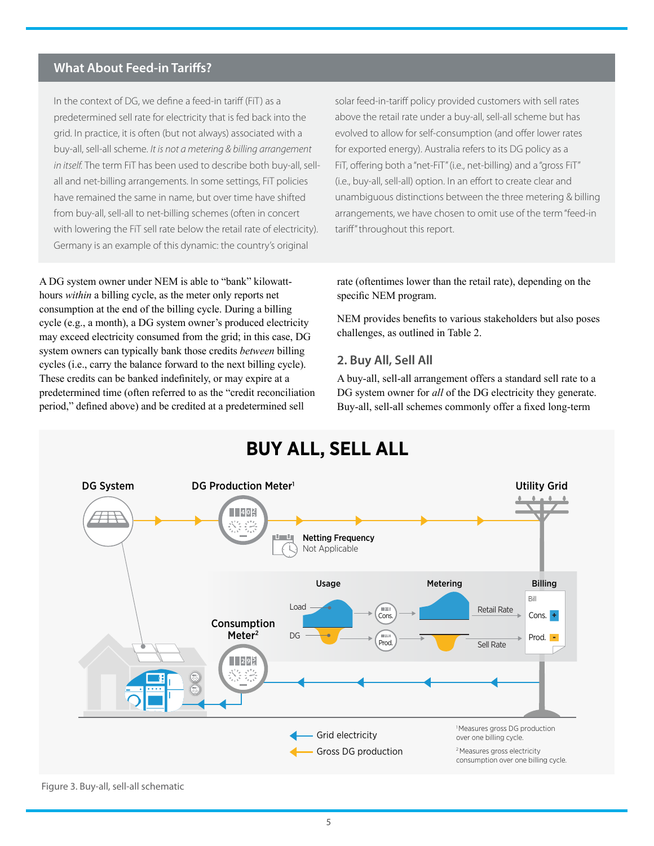### **What About Feed-in Tariffs?**

In the context of DG, we define a feed-in tariff (FiT) as a predetermined sell rate for electricity that is fed back into the grid. In practice, it is often (but not always) associated with a buy-all, sell-all scheme. *It is not a metering & billing arrangement in itself.* The term FiT has been used to describe both buy-all, sellall and net-billing arrangements. In some settings, FiT policies have remained the same in name, but over time have shifted from buy-all, sell-all to net-billing schemes (often in concert with lowering the FiT sell rate below the retail rate of electricity). Germany is an example of this dynamic: the country's original

A DG system owner under NEM is able to "bank" kilowatthours *within* a billing cycle, as the meter only reports net consumption at the end of the billing cycle. During a billing cycle (e.g., a month), a DG system owner's produced electricity may exceed electricity consumed from the grid; in this case, DG system owners can typically bank those credits *between* billing cycles (i.e., carry the balance forward to the next billing cycle). These credits can be banked indefinitely, or may expire at a predetermined time (often referred to as the "credit reconciliation period," defined above) and be credited at a predetermined sell

solar feed-in-tariff policy provided customers with sell rates above the retail rate under a buy-all, sell-all scheme but has evolved to allow for self-consumption (and offer lower rates for exported energy). Australia refers to its DG policy as a FiT, offering both a "net-FiT" (i.e., net-billing) and a "gross FiT" (i.e., buy-all, sell-all) option. In an effort to create clear and unambiguous distinctions between the three metering & billing arrangements, we have chosen to omit use of the term "feed-in tariff" throughout this report.

rate (oftentimes lower than the retail rate), depending on the specific NEM program.

NEM provides benefits to various stakeholders but also poses challenges, as outlined in [Table 2.](#page-3-0)

#### **2. Buy All, Sell All**

A buy-all, sell-all arrangement offers a standard sell rate to a DG system owner for *all* of the DG electricity they generate. Buy-all, sell-all schemes commonly offer a fixed long-term



# **BUY ALL, SELL ALL**

#### <span id="page-4-0"></span>Figure 3. Buy-all, sell-all schematic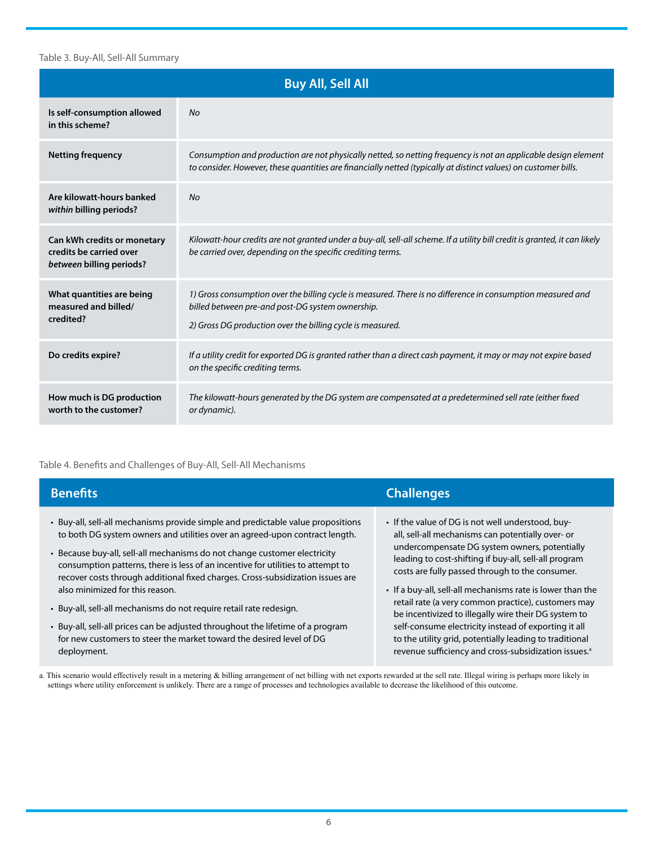#### Table 3. Buy-All, Sell-All Summary

| <b>Buy All, Sell All</b>                                                           |                                                                                                                                                                                                                                   |  |  |
|------------------------------------------------------------------------------------|-----------------------------------------------------------------------------------------------------------------------------------------------------------------------------------------------------------------------------------|--|--|
| Is self-consumption allowed<br>in this scheme?                                     | No                                                                                                                                                                                                                                |  |  |
| <b>Netting frequency</b>                                                           | Consumption and production are not physically netted, so netting frequency is not an applicable design element<br>to consider. However, these quantities are financially netted (typically at distinct values) on customer bills. |  |  |
| Are kilowatt-hours banked<br>within billing periods?                               | <b>No</b>                                                                                                                                                                                                                         |  |  |
| Can kWh credits or monetary<br>credits be carried over<br>between billing periods? | Kilowatt-hour credits are not granted under a buy-all, sell-all scheme. If a utility bill credit is granted, it can likely<br>be carried over, depending on the specific crediting terms.                                         |  |  |
| What quantities are being<br>measured and billed/<br>credited?                     | 1) Gross consumption over the billing cycle is measured. There is no difference in consumption measured and<br>billed between pre-and post-DG system ownership.<br>2) Gross DG production over the billing cycle is measured.     |  |  |
| Do credits expire?                                                                 | If a utility credit for exported DG is granted rather than a direct cash payment, it may or may not expire based<br>on the specific crediting terms.                                                                              |  |  |
| How much is DG production<br>worth to the customer?                                | The kilowatt-hours generated by the DG system are compensated at a predetermined sell rate (either fixed<br>or dynamic).                                                                                                          |  |  |

#### Table 4. Benefits and Challenges of Buy-All, Sell-All Mechanisms

| <b>Benefits</b>                                                                                                                                                                                                                              | <b>Challenges</b>                                                                                                                                       |
|----------------------------------------------------------------------------------------------------------------------------------------------------------------------------------------------------------------------------------------------|---------------------------------------------------------------------------------------------------------------------------------------------------------|
| • Buy-all, sell-all mechanisms provide simple and predictable value propositions<br>to both DG system owners and utilities over an agreed-upon contract length.<br>• Because buy-all, sell-all mechanisms do not change customer electricity | • If the value of DG is not well understood, buy-<br>all, sell-all mechanisms can potentially over- or<br>undercompensate DG system owners, potentially |
| consumption patterns, there is less of an incentive for utilities to attempt to<br>recover costs through additional fixed charges. Cross-subsidization issues are                                                                            | leading to cost-shifting if buy-all, sell-all program<br>costs are fully passed through to the consumer.                                                |
| also minimized for this reason.                                                                                                                                                                                                              | • If a buy-all, sell-all mechanisms rate is lower than the                                                                                              |
| · Buy-all, sell-all mechanisms do not require retail rate redesign.                                                                                                                                                                          | retail rate (a very common practice), customers may<br>be incentivized to illegally wire their DG system to                                             |
| • Buy-all, sell-all prices can be adjusted throughout the lifetime of a program                                                                                                                                                              | self-consume electricity instead of exporting it all                                                                                                    |
| for new customers to steer the market toward the desired level of DG                                                                                                                                                                         | to the utility grid, potentially leading to traditional                                                                                                 |
| deployment.                                                                                                                                                                                                                                  | revenue sufficiency and cross-subsidization issues. <sup>a</sup>                                                                                        |

a. This scenario would effectively result in a metering & billing arrangement of net billing with net exports rewarded at the sell rate. Illegal wiring is perhaps more likely in settings where utility enforcement is unlikely. There are a range of processes and technologies available to decrease the likelihood of this outcome.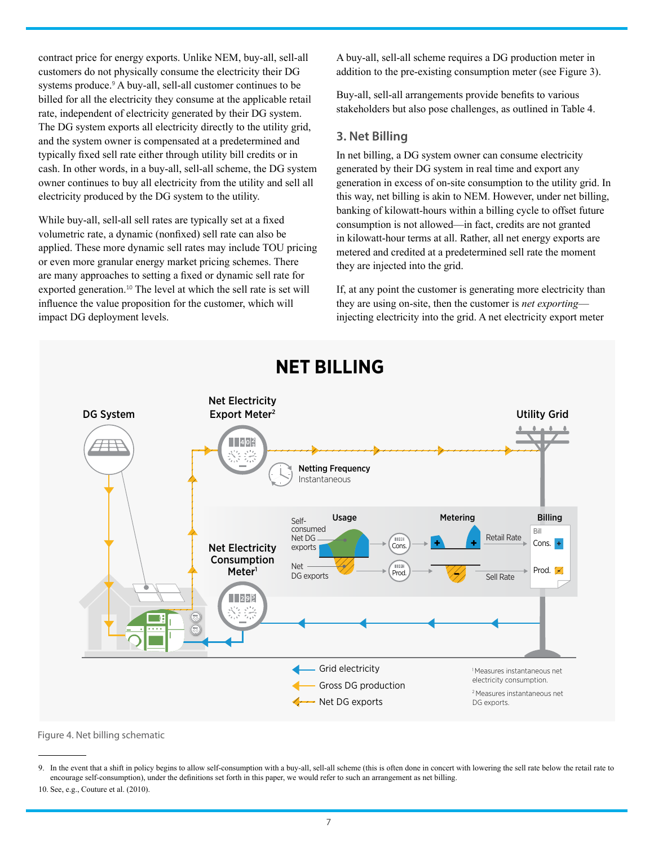contract price for energy exports. Unlike NEM, buy-all, sell-all customers do not physically consume the electricity their DG systems produce.<sup>9</sup> A buy-all, sell-all customer continues to be billed for all the electricity they consume at the applicable retail rate, independent of electricity generated by their DG system. The DG system exports all electricity directly to the utility grid, and the system owner is compensated at a predetermined and typically fixed sell rate either through utility bill credits or in cash. In other words, in a buy-all, sell-all scheme, the DG system owner continues to buy all electricity from the utility and sell all electricity produced by the DG system to the utility.

While buy-all, sell-all sell rates are typically set at a fixed volumetric rate, a dynamic (nonfixed) sell rate can also be applied. These more dynamic sell rates may include TOU pricing or even more granular energy market pricing schemes. There are many approaches to setting a fixed or dynamic sell rate for exported generation.<sup>10</sup> The level at which the sell rate is set will influence the value proposition for the customer, which will impact DG deployment levels.

A buy-all, sell-all scheme requires a DG production meter in addition to the pre-existing consumption meter (see [Figure 3](#page-4-0)).

Buy-all, sell-all arrangements provide benefits to various stakeholders but also pose challenges, as outlined in Table 4.

#### **3. Net Billing**

In net billing, a DG system owner can consume electricity generated by their DG system in real time and export any generation in excess of on-site consumption to the utility grid. In this way, net billing is akin to NEM. However, under net billing, banking of kilowatt-hours within a billing cycle to offset future consumption is not allowed—in fact, credits are not granted in kilowatt-hour terms at all. Rather, all net energy exports are metered and credited at a predetermined sell rate the moment they are injected into the grid.

If, at any point the customer is generating more electricity than they are using on-site, then the customer is *net exporting* injecting electricity into the grid. A net electricity export meter



# **NET BILLING**

<span id="page-6-0"></span>Figure 4. Net billing schematic

<sup>9.</sup> In the event that a shift in policy begins to allow self-consumption with a buy-all, sell-all scheme (this is often done in concert with lowering the sell rate below the retail rate to encourage self-consumption), under the definitions set forth in this paper, we would refer to such an arrangement as net billing.

<sup>10.</sup> See, e.g., Couture et al. (2010).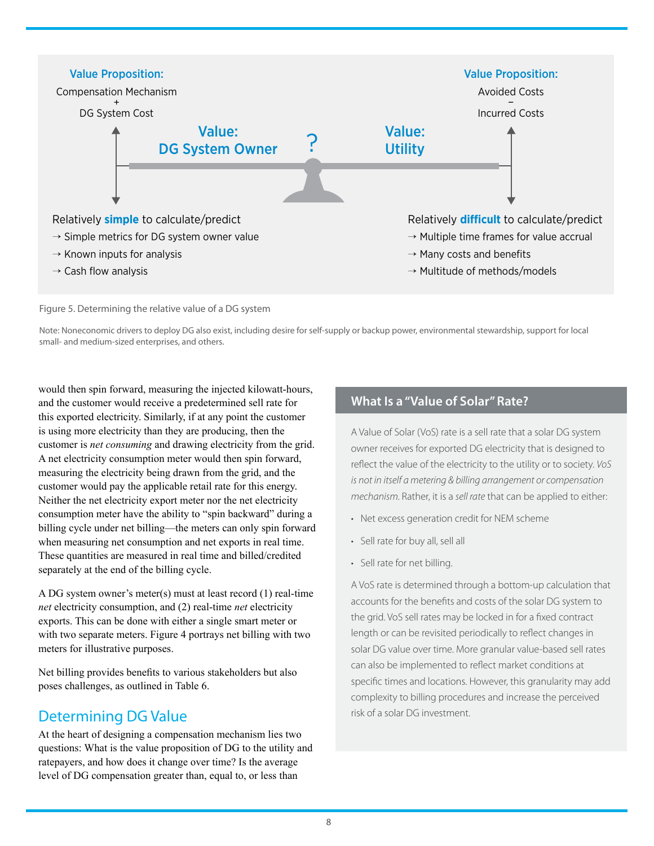

Figure 5. Determining the relative value of a DG system

Note: Noneconomic drivers to deploy DG also exist, including desire for self-supply or backup power, environmental stewardship, support for local small- and medium-sized enterprises, and others.

would then spin forward, measuring the injected kilowatt-hours, and the customer would receive a predetermined sell rate for this exported electricity. Similarly, if at any point the customer is using more electricity than they are producing, then the customer is *net consuming* and drawing electricity from the grid. A net electricity consumption meter would then spin forward, measuring the electricity being drawn from the grid, and the customer would pay the applicable retail rate for this energy. Neither the net electricity export meter nor the net electricity consumption meter have the ability to "spin backward" during a billing cycle under net billing—the meters can only spin forward when measuring net consumption and net exports in real time. These quantities are measured in real time and billed/credited separately at the end of the billing cycle.

A DG system owner's meter(s) must at least record (1) real-time *net* electricity consumption, and (2) real-time *net* electricity exports. This can be done with either a single smart meter or with two separate meters. [Figure 4](#page-6-0) portrays net billing with two meters for illustrative purposes.

Net billing provides benefits to various stakeholders but also poses challenges, as outlined in Table 6.

# Determining DG Value

At the heart of designing a compensation mechanism lies two questions: What is the value proposition of DG to the utility and ratepayers, and how does it change over time? Is the average level of DG compensation greater than, equal to, or less than

# **What Is a "Value of Solar" Rate?**

A Value of Solar (VoS) rate is a sell rate that a solar DG system owner receives for exported DG electricity that is designed to reflect the value of the electricity to the utility or to society. *VoS is not in itself a metering & billing arrangement or compensation mechanism.* Rather, it is a *sell rate* that can be applied to either:

- Net excess generation credit for NEM scheme
- Sell rate for buy all, sell all
- Sell rate for net billing.

A VoS rate is determined through a bottom-up calculation that accounts for the benefits and costs of the solar DG system to the grid. VoS sell rates may be locked in for a fixed contract length or can be revisited periodically to reflect changes in solar DG value over time. More granular value-based sell rates can also be implemented to reflect market conditions at specific times and locations. However, this granularity may add complexity to billing procedures and increase the perceived risk of a solar DG investment.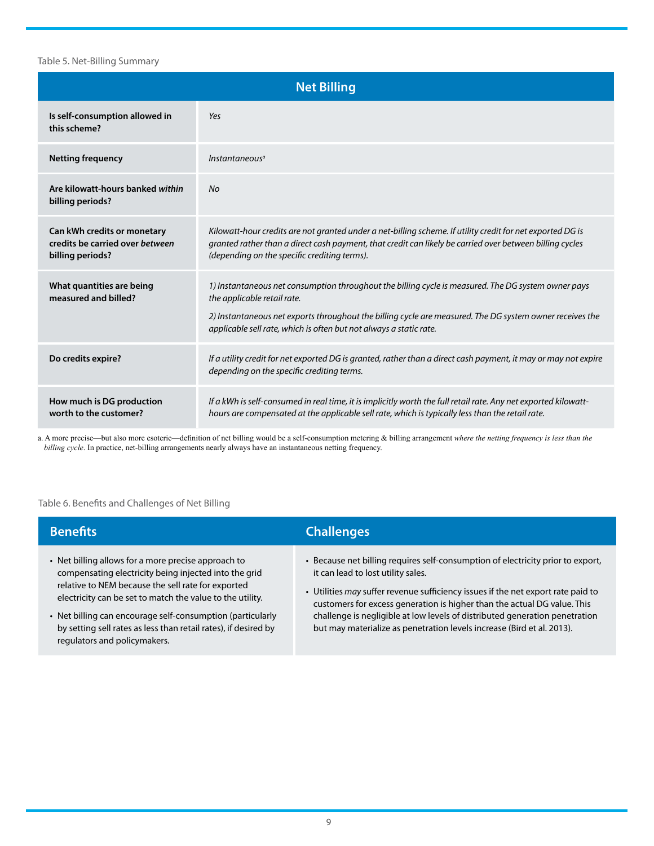#### Table 5. Net-Billing Summary

| <b>Net Billing</b>                                                                 |                                                                                                                                                                                                                                                                                                                      |  |  |  |
|------------------------------------------------------------------------------------|----------------------------------------------------------------------------------------------------------------------------------------------------------------------------------------------------------------------------------------------------------------------------------------------------------------------|--|--|--|
| Is self-consumption allowed in<br>this scheme?                                     | Yes                                                                                                                                                                                                                                                                                                                  |  |  |  |
| <b>Netting frequency</b>                                                           | Instantaneous <sup>a</sup>                                                                                                                                                                                                                                                                                           |  |  |  |
| Are kilowatt-hours banked within<br>billing periods?                               | No                                                                                                                                                                                                                                                                                                                   |  |  |  |
| Can kWh credits or monetary<br>credits be carried over between<br>billing periods? | Kilowatt-hour credits are not granted under a net-billing scheme. If utility credit for net exported DG is<br>granted rather than a direct cash payment, that credit can likely be carried over between billing cycles<br>(depending on the specific crediting terms).                                               |  |  |  |
| What quantities are being<br>measured and billed?                                  | 1) Instantaneous net consumption throughout the billing cycle is measured. The DG system owner pays<br>the applicable retail rate.<br>2) Instantaneous net exports throughout the billing cycle are measured. The DG system owner receives the<br>applicable sell rate, which is often but not always a static rate. |  |  |  |
| Do credits expire?                                                                 | If a utility credit for net exported DG is granted, rather than a direct cash payment, it may or may not expire<br>depending on the specific crediting terms.                                                                                                                                                        |  |  |  |
| How much is DG production<br>worth to the customer?                                | If a kWh is self-consumed in real time, it is implicitly worth the full retail rate. Any net exported kilowatt-<br>hours are compensated at the applicable sell rate, which is typically less than the retail rate.                                                                                                  |  |  |  |

a. A more precise—but also more esoteric—definition of net billing would be a self-consumption metering & billing arrangement *where the netting frequency is less than the billing cycle*. In practice, net-billing arrangements nearly always have an instantaneous netting frequency.

#### Table 6. Benefits and Challenges of Net Billing

| <b>Benefits</b>                                                                                                                                                                                                                                                                                                                                                                                  | <b>Challenges</b>                                                                                                                                                                                                                                                                                                                                                                                                                              |
|--------------------------------------------------------------------------------------------------------------------------------------------------------------------------------------------------------------------------------------------------------------------------------------------------------------------------------------------------------------------------------------------------|------------------------------------------------------------------------------------------------------------------------------------------------------------------------------------------------------------------------------------------------------------------------------------------------------------------------------------------------------------------------------------------------------------------------------------------------|
| • Net billing allows for a more precise approach to<br>compensating electricity being injected into the grid<br>relative to NEM because the sell rate for exported<br>electricity can be set to match the value to the utility.<br>• Net billing can encourage self-consumption (particularly<br>by setting sell rates as less than retail rates), if desired by<br>regulators and policymakers. | • Because net billing requires self-consumption of electricity prior to export,<br>it can lead to lost utility sales.<br>• Utilities may suffer revenue sufficiency issues if the net export rate paid to<br>customers for excess generation is higher than the actual DG value. This<br>challenge is negligible at low levels of distributed generation penetration<br>but may materialize as penetration levels increase (Bird et al. 2013). |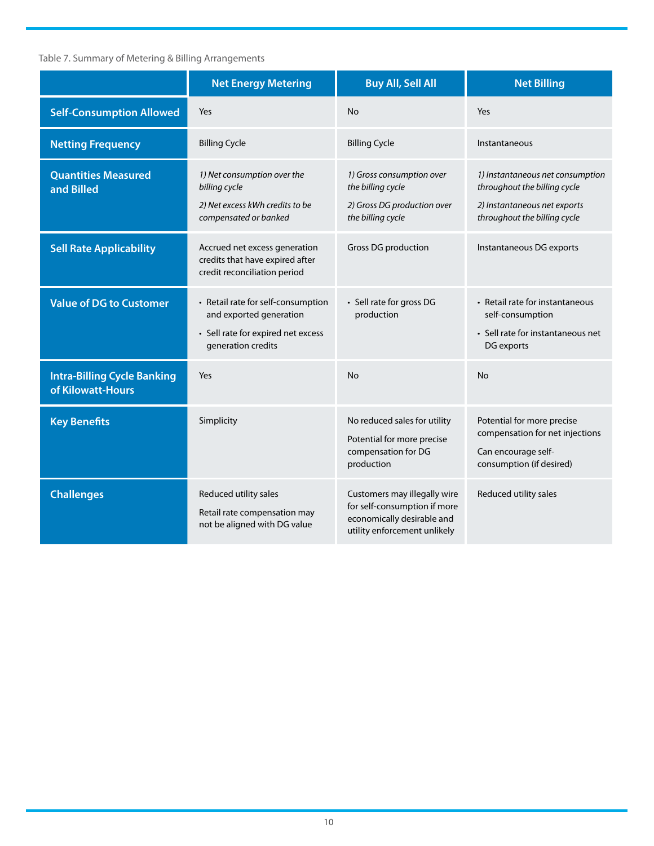## Table 7. Summary of Metering & Billing Arrangements

|                                                         | <b>Net Energy Metering</b>                                                                                                | <b>Buy All, Sell All</b>                                                                                                   | <b>Net Billing</b>                                                                                                               |
|---------------------------------------------------------|---------------------------------------------------------------------------------------------------------------------------|----------------------------------------------------------------------------------------------------------------------------|----------------------------------------------------------------------------------------------------------------------------------|
| <b>Self-Consumption Allowed</b>                         | Yes                                                                                                                       | <b>No</b>                                                                                                                  | Yes                                                                                                                              |
| <b>Netting Frequency</b>                                | <b>Billing Cycle</b>                                                                                                      | <b>Billing Cycle</b>                                                                                                       | Instantaneous                                                                                                                    |
| <b>Quantities Measured</b><br>and Billed                | 1) Net consumption over the<br>billing cycle<br>2) Net excess kWh credits to be<br>compensated or banked                  | 1) Gross consumption over<br>the billing cycle<br>2) Gross DG production over<br>the billing cycle                         | 1) Instantaneous net consumption<br>throughout the billing cycle<br>2) Instantaneous net exports<br>throughout the billing cycle |
| <b>Sell Rate Applicability</b>                          | Accrued net excess generation<br>credits that have expired after<br>credit reconciliation period                          | Gross DG production                                                                                                        | Instantaneous DG exports                                                                                                         |
| <b>Value of DG to Customer</b>                          | • Retail rate for self-consumption<br>and exported generation<br>• Sell rate for expired net excess<br>generation credits | • Sell rate for gross DG<br>production                                                                                     | • Retail rate for instantaneous<br>self-consumption<br>• Sell rate for instantaneous net<br>DG exports                           |
| <b>Intra-Billing Cycle Banking</b><br>of Kilowatt-Hours | Yes                                                                                                                       | <b>No</b>                                                                                                                  | No                                                                                                                               |
| <b>Key Benefits</b>                                     | Simplicity                                                                                                                | No reduced sales for utility<br>Potential for more precise<br>compensation for DG<br>production                            | Potential for more precise<br>compensation for net injections<br>Can encourage self-<br>consumption (if desired)                 |
| <b>Challenges</b>                                       | Reduced utility sales<br>Retail rate compensation may<br>not be aligned with DG value                                     | Customers may illegally wire<br>for self-consumption if more<br>economically desirable and<br>utility enforcement unlikely | Reduced utility sales                                                                                                            |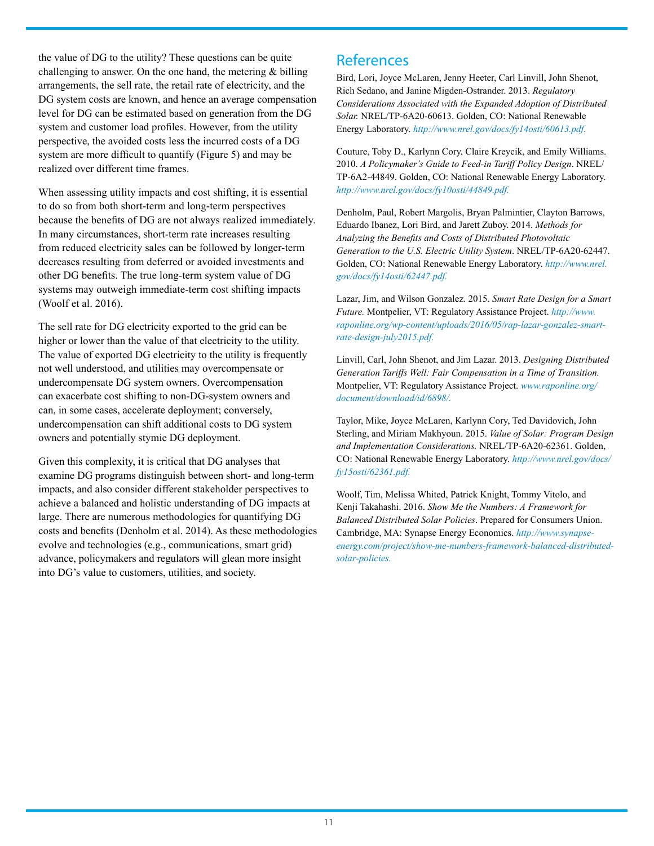the value of DG to the utility? These questions can be quite challenging to answer. On the one hand, the metering  $\&$  billing arrangements, the sell rate, the retail rate of electricity, and the DG system costs are known, and hence an average compensation level for DG can be estimated based on generation from the DG system and customer load profiles. However, from the utility perspective, the avoided costs less the incurred costs of a DG system are more difficult to quantify (Figure 5) and may be realized over different time frames.

When assessing utility impacts and cost shifting, it is essential to do so from both short-term and long-term perspectives because the benefits of DG are not always realized immediately. In many circumstances, short-term rate increases resulting from reduced electricity sales can be followed by longer-term decreases resulting from deferred or avoided investments and other DG benefits. The true long-term system value of DG systems may outweigh immediate-term cost shifting impacts (Woolf et al. 2016).

The sell rate for DG electricity exported to the grid can be higher or lower than the value of that electricity to the utility. The value of exported DG electricity to the utility is frequently not well understood, and utilities may overcompensate or undercompensate DG system owners. Overcompensation can exacerbate cost shifting to non-DG-system owners and can, in some cases, accelerate deployment; conversely, undercompensation can shift additional costs to DG system owners and potentially stymie DG deployment.

Given this complexity, it is critical that DG analyses that examine DG programs distinguish between short- and long-term impacts, and also consider different stakeholder perspectives to achieve a balanced and holistic understanding of DG impacts at large. There are numerous methodologies for quantifying DG costs and benefits (Denholm et al. 2014). As these methodologies evolve and technologies (e.g., communications, smart grid) advance, policymakers and regulators will glean more insight into DG's value to customers, utilities, and society.

# **References**

Bird, Lori, Joyce McLaren, Jenny Heeter, Carl Linvill, John Shenot, Rich Sedano, and Janine Migden-Ostrander. 2013. *Regulatory Considerations Associated with the Expanded Adoption of Distributed Solar.* NREL/TP-6A20-60613. Golden, CO: National Renewable Energy Laboratory. *[http://www.nrel.gov/docs/fy14osti/60613.pdf.](http://www.nrel.gov/docs/fy14osti/60613.pdf)* 

Couture, Toby D., Karlynn Cory, Claire Kreycik, and Emily Williams. 2010. *A Policymaker's Guide to Feed-in Tariff Policy Design*. NREL/ TP-6A2-44849. Golden, CO: National Renewable Energy Laboratory. *[http://www.nrel.gov/docs/fy10osti/44849.pdf.](http://www.nrel.gov/docs/fy10osti/44849.pdf)* 

Denholm, Paul, Robert Margolis, Bryan Palmintier, Clayton Barrows, Eduardo Ibanez, Lori Bird, and Jarett Zuboy. 2014. *Methods for Analyzing the Benefits and Costs of Distributed Photovoltaic Generation to the U.S. Electric Utility System*. NREL/TP-6A20-62447. Golden, CO: National Renewable Energy Laboratory. *[http://www.nrel.](http://www.nrel.gov/docs/fy14osti/62447.pdf) [gov/docs/fy14osti/62447.pdf.](http://www.nrel.gov/docs/fy14osti/62447.pdf)* 

Lazar, Jim, and Wilson Gonzalez. 2015. *Smart Rate Design for a Smart Future.* Montpelier, VT: Regulatory Assistance Project. *[http://www.](http://www.raponline.org/wp-content/uploads/2016/05/rap-lazar-gonzalez-smart-rate-design-july2015.pdf) [raponline.org/wp-content/uploads/2016/05/rap-lazar-gonzalez-smart](http://www.raponline.org/wp-content/uploads/2016/05/rap-lazar-gonzalez-smart-rate-design-july2015.pdf)[rate-design-july2015.pdf](http://www.raponline.org/wp-content/uploads/2016/05/rap-lazar-gonzalez-smart-rate-design-july2015.pdf).* 

Linvill, Carl, John Shenot, and Jim Lazar. 2013. *Designing Distributed Generation Tariffs Well: Fair Compensation in a Time of Transition.* Montpelier, VT: Regulatory Assistance Project. *[www.raponline.org/](http://www.raponline.org/document/download/id/6898/) [document/download/id/6898/](http://www.raponline.org/document/download/id/6898/).* 

Taylor, Mike, Joyce McLaren, Karlynn Cory, Ted Davidovich, John Sterling, and Miriam Makhyoun. 2015. *Value of Solar: Program Design and Implementation Considerations.* NREL/TP-6A20-62361. Golden, CO: National Renewable Energy Laboratory. *[http://www.nrel.gov/docs/](http://www.nrel.gov/docs/fy15osti/62361.pdf) [fy15osti/62361.pdf](http://www.nrel.gov/docs/fy15osti/62361.pdf).*

Woolf, Tim, Melissa Whited, Patrick Knight, Tommy Vitolo, and Kenji Takahashi. 2016. *Show Me the Numbers: A Framework for Balanced Distributed Solar Policies*. Prepared for Consumers Union. Cambridge, MA: Synapse Energy Economics. *[http://www.synapse](http://www.synapse-energy.com/project/show-me-numbers-framework-balanced-distributed-solar-policies)[energy.com/project/show-me-numbers-framework-balanced-distributed](http://www.synapse-energy.com/project/show-me-numbers-framework-balanced-distributed-solar-policies)[solar-policies](http://www.synapse-energy.com/project/show-me-numbers-framework-balanced-distributed-solar-policies).*